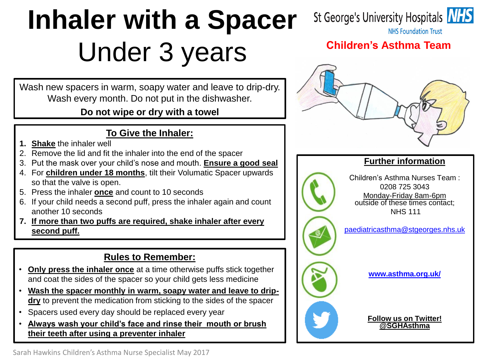# **Inhaler with a Spacer** Under 3 years

Wash new spacers in warm, soapy water and leave to drip-dry. Wash every month. Do not put in the dishwasher.

### **Do not wipe or dry with a towel**

### **To Give the Inhaler:**

- **1. Shake** the inhaler well
- 2. Remove the lid and fit the inhaler into the end of the spacer
- 3. Put the mask over your child's nose and mouth. **Ensure a good seal**
- 4. For **children under 18 months**, tilt their Volumatic Spacer upwards so that the valve is open.
- 5. Press the inhaler **once** and count to 10 seconds
- 6. If your child needs a second puff, press the inhaler again and count another 10 seconds
- **7. If more than two puffs are required, shake inhaler after every second puff.**

### **Rules to Remember:**

- **Only press the inhaler once** at a time otherwise puffs stick together and coat the sides of the spacer so your child gets less medicine
- **Wash the spacer monthly in warm, soapy water and leave to dripdry** to prevent the medication from sticking to the sides of the spacer
- Spacers used every day should be replaced every year
- **Always wash your child's face and rinse their mouth or brush their teeth after using a preventer inhaler**



**NHS Foundation Trust** 

### **Children's Asthma Team**



### **Further information**



[paediatricasthma@stgeorges.nhs.uk](mailto:paediatricasthma@stgeorges.nhs.uk)

**[www.asthma.org.uk/](http://www.asthma.org.uk/)**